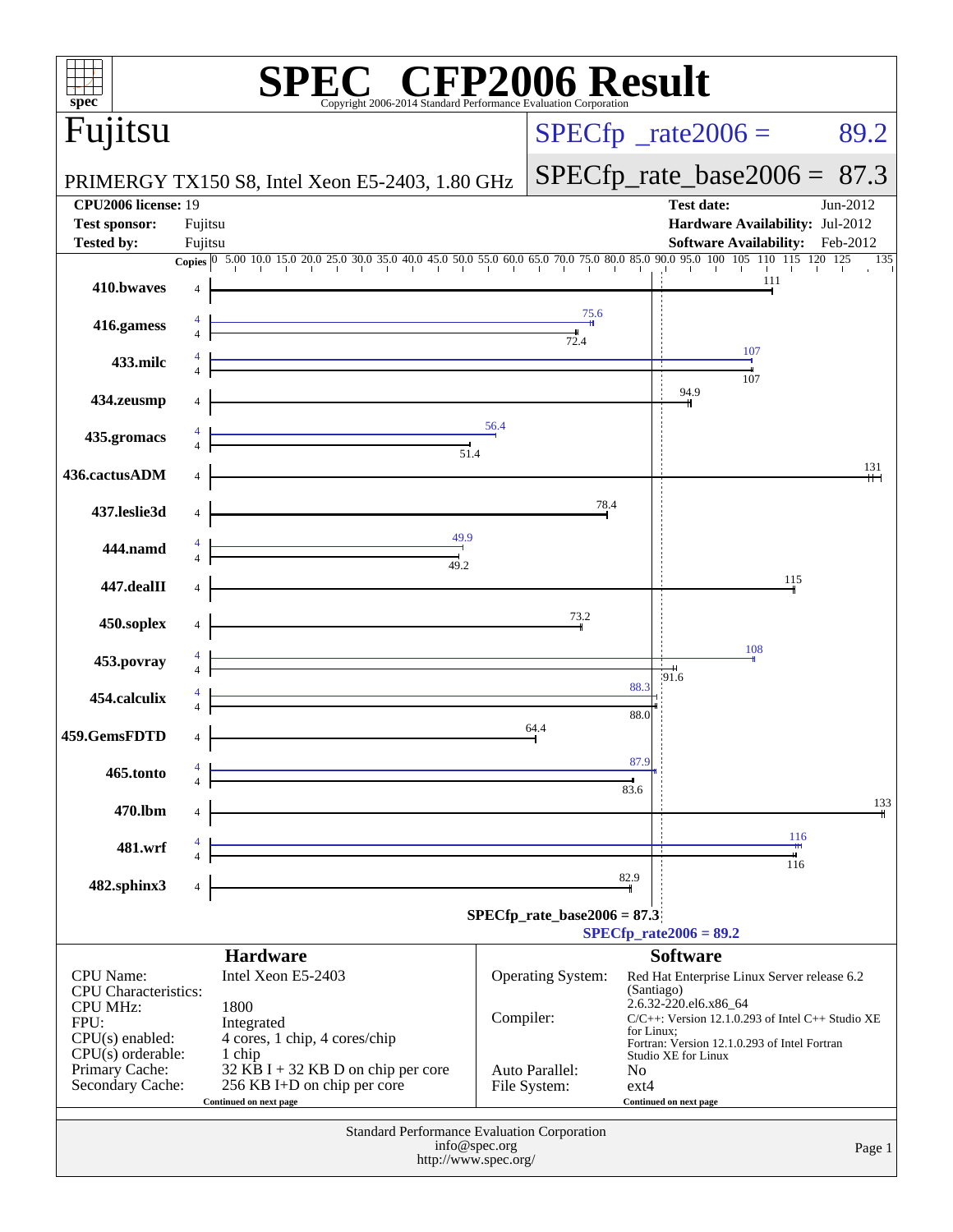| $spec^*$                                                                      | <b>C® CFP2006 Result</b><br>Copyright 2006-2014 Standard Performance Evaluation Corporation                           |                                |                                                                     |  |  |
|-------------------------------------------------------------------------------|-----------------------------------------------------------------------------------------------------------------------|--------------------------------|---------------------------------------------------------------------|--|--|
| Fujitsu                                                                       |                                                                                                                       |                                | $SPECfp^{\circ}$ _rate2006 =<br>89.2                                |  |  |
|                                                                               | PRIMERGY TX150 S8, Intel Xeon E5-2403, 1.80 GHz                                                                       |                                | $SPECfp_rate\_base2006 = 87.3$                                      |  |  |
| <b>CPU2006 license: 19</b>                                                    |                                                                                                                       |                                | <b>Test date:</b><br>Jun-2012                                       |  |  |
| <b>Test sponsor:</b><br><b>Tested by:</b>                                     | Fujitsu<br>Fujitsu                                                                                                    |                                | Hardware Availability: Jul-2012<br>Software Availability: Feb-2012  |  |  |
|                                                                               |                                                                                                                       |                                | 135                                                                 |  |  |
| 410.bwaves                                                                    |                                                                                                                       |                                | 111                                                                 |  |  |
| 416.gamess                                                                    |                                                                                                                       | 75.6                           |                                                                     |  |  |
|                                                                               |                                                                                                                       | 72.4                           | 107                                                                 |  |  |
| 433.milc                                                                      |                                                                                                                       |                                | 107                                                                 |  |  |
| 434.zeusmp                                                                    |                                                                                                                       |                                | 94.9                                                                |  |  |
| 435.gromacs                                                                   |                                                                                                                       | 56.4                           |                                                                     |  |  |
|                                                                               | 51.4                                                                                                                  |                                | 131                                                                 |  |  |
| 436.cactusADM                                                                 |                                                                                                                       |                                |                                                                     |  |  |
| 437.leslie3d                                                                  |                                                                                                                       | 78.4                           |                                                                     |  |  |
| 444.namd                                                                      | 49.9                                                                                                                  |                                |                                                                     |  |  |
|                                                                               | 49.2                                                                                                                  |                                | 115                                                                 |  |  |
| 447.dealII                                                                    |                                                                                                                       |                                |                                                                     |  |  |
| 450.soplex                                                                    |                                                                                                                       | 73.2                           |                                                                     |  |  |
| 453.povray                                                                    |                                                                                                                       |                                | 108                                                                 |  |  |
| 454.calculix                                                                  |                                                                                                                       |                                | 191.6<br>88.3                                                       |  |  |
|                                                                               |                                                                                                                       |                                | 88.0                                                                |  |  |
| 459.GemsFDTD                                                                  |                                                                                                                       | 64.4                           |                                                                     |  |  |
| 465.tonto                                                                     |                                                                                                                       |                                | 87.9                                                                |  |  |
| 470.lbm                                                                       | 4                                                                                                                     |                                | 83.6<br>133                                                         |  |  |
|                                                                               |                                                                                                                       |                                | 116                                                                 |  |  |
| 481.wrf                                                                       | <u> 1989 - Andrea Barbara, amerikana amerikana personal di sebagai personal di sebagai personal di sebagai person</u> |                                | 116                                                                 |  |  |
| 482.sphinx3                                                                   |                                                                                                                       |                                | 82.9                                                                |  |  |
|                                                                               |                                                                                                                       | $SPECfp_rate_base2006 = 87.3$  |                                                                     |  |  |
|                                                                               |                                                                                                                       |                                | $SPECfp_{rate}2006 = 89.2$                                          |  |  |
| <b>CPU</b> Name:                                                              | <b>Hardware</b><br>Intel Xeon E5-2403                                                                                 | <b>Operating System:</b>       | <b>Software</b><br>Red Hat Enterprise Linux Server release 6.2      |  |  |
| <b>CPU</b> Characteristics:<br><b>CPU MHz:</b>                                | 1800                                                                                                                  |                                | (Santiago)<br>$2.6.32 - 220$ .el6.x86_64                            |  |  |
| FPU:                                                                          | Integrated                                                                                                            | Compiler:                      | $C/C++$ : Version 12.1.0.293 of Intel $C++$ Studio XE<br>for Linux; |  |  |
| $CPU(s)$ enabled:<br>$CPU(s)$ orderable:                                      | 4 cores, 1 chip, 4 cores/chip<br>1 chip                                                                               |                                | Fortran: Version 12.1.0.293 of Intel Fortran<br>Studio XE for Linux |  |  |
| Primary Cache:<br>Secondary Cache:                                            | $32$ KB I + 32 KB D on chip per core<br>256 KB I+D on chip per core                                                   | Auto Parallel:<br>File System: | No<br>$ext{4}$                                                      |  |  |
|                                                                               | Continued on next page                                                                                                |                                | Continued on next page                                              |  |  |
| <b>Standard Performance Evaluation Corporation</b><br>info@spec.org<br>Page 1 |                                                                                                                       |                                |                                                                     |  |  |
| http://www.spec.org/                                                          |                                                                                                                       |                                |                                                                     |  |  |
|                                                                               |                                                                                                                       |                                |                                                                     |  |  |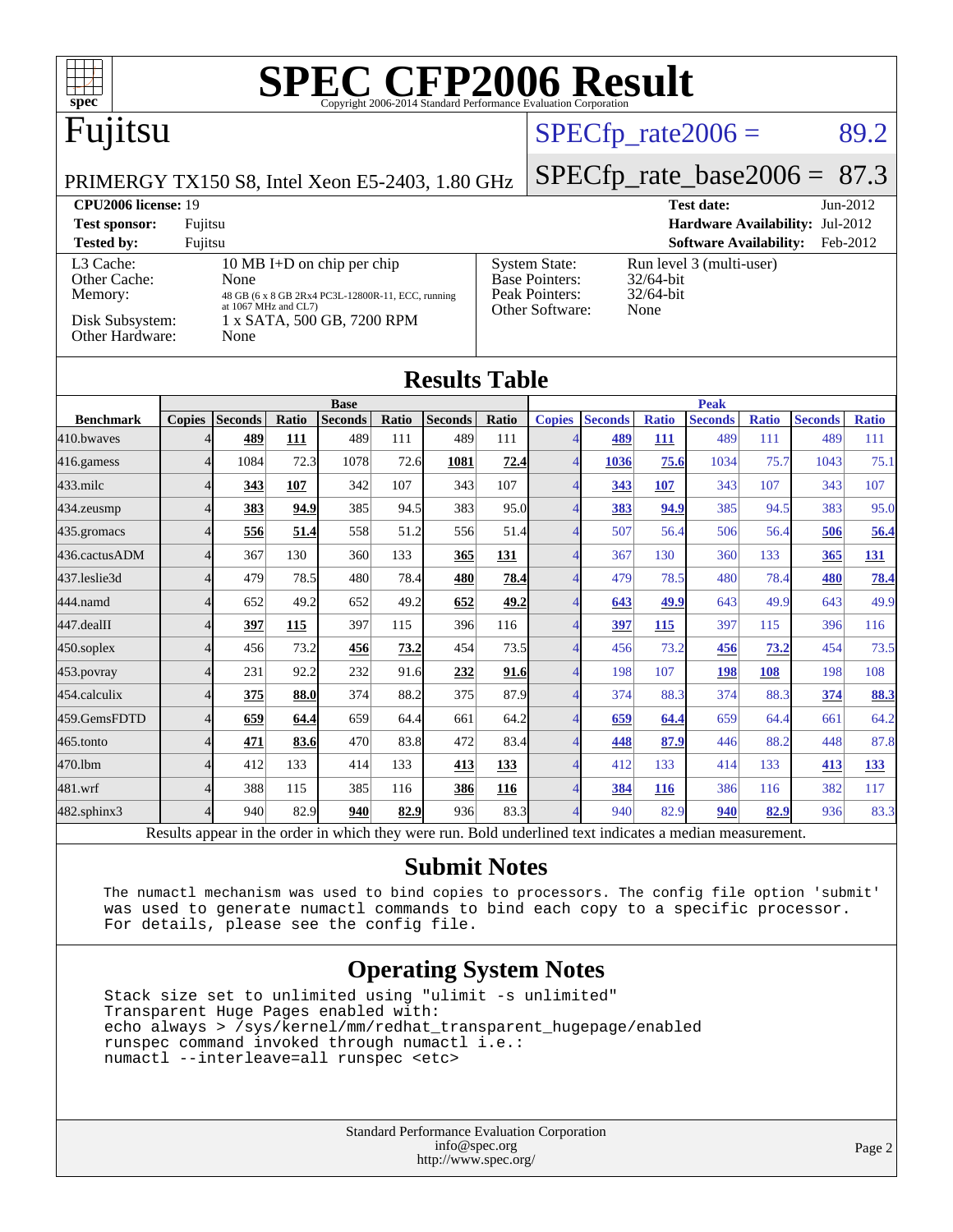

**[Submit Notes](http://www.spec.org/auto/cpu2006/Docs/result-fields.html#SubmitNotes)**

[454.calculix](http://www.spec.org/auto/cpu2006/Docs/454.calculix.html) 4 **[375](http://www.spec.org/auto/cpu2006/Docs/result-fields.html#Median) [88.0](http://www.spec.org/auto/cpu2006/Docs/result-fields.html#Median)** 374 88.2 375 87.9 4 374 88.3 374 88.3 **[374](http://www.spec.org/auto/cpu2006/Docs/result-fields.html#Median) [88.3](http://www.spec.org/auto/cpu2006/Docs/result-fields.html#Median)** [459.GemsFDTD](http://www.spec.org/auto/cpu2006/Docs/459.GemsFDTD.html) 4 **[659](http://www.spec.org/auto/cpu2006/Docs/result-fields.html#Median) [64.4](http://www.spec.org/auto/cpu2006/Docs/result-fields.html#Median)** 659 64.4 661 64.2 4 **[659](http://www.spec.org/auto/cpu2006/Docs/result-fields.html#Median) [64.4](http://www.spec.org/auto/cpu2006/Docs/result-fields.html#Median)** 659 64.4 661 64.2 [465.tonto](http://www.spec.org/auto/cpu2006/Docs/465.tonto.html) 4 **[471](http://www.spec.org/auto/cpu2006/Docs/result-fields.html#Median) [83.6](http://www.spec.org/auto/cpu2006/Docs/result-fields.html#Median)** 470 83.8 472 83.4 4 **[448](http://www.spec.org/auto/cpu2006/Docs/result-fields.html#Median) [87.9](http://www.spec.org/auto/cpu2006/Docs/result-fields.html#Median)** 446 88.2 448 87.8 [470.lbm](http://www.spec.org/auto/cpu2006/Docs/470.lbm.html) 4 412 133 414 133 **[413](http://www.spec.org/auto/cpu2006/Docs/result-fields.html#Median) [133](http://www.spec.org/auto/cpu2006/Docs/result-fields.html#Median)** 4 412 133 414 133 **[413](http://www.spec.org/auto/cpu2006/Docs/result-fields.html#Median) [133](http://www.spec.org/auto/cpu2006/Docs/result-fields.html#Median)** [481.wrf](http://www.spec.org/auto/cpu2006/Docs/481.wrf.html) 4 388 115 385 116 **[386](http://www.spec.org/auto/cpu2006/Docs/result-fields.html#Median) [116](http://www.spec.org/auto/cpu2006/Docs/result-fields.html#Median)** 4 **[384](http://www.spec.org/auto/cpu2006/Docs/result-fields.html#Median) [116](http://www.spec.org/auto/cpu2006/Docs/result-fields.html#Median)** 386 116 382 117 [482.sphinx3](http://www.spec.org/auto/cpu2006/Docs/482.sphinx3.html) 4 940 82.9 **[940](http://www.spec.org/auto/cpu2006/Docs/result-fields.html#Median) [82.9](http://www.spec.org/auto/cpu2006/Docs/result-fields.html#Median)** 936 83.3 4 940 82.9 **[940](http://www.spec.org/auto/cpu2006/Docs/result-fields.html#Median) [82.9](http://www.spec.org/auto/cpu2006/Docs/result-fields.html#Median)** 936 83.3 Results appear in the [order in which they were run.](http://www.spec.org/auto/cpu2006/Docs/result-fields.html#RunOrder) Bold underlined text [indicates a median measurement.](http://www.spec.org/auto/cpu2006/Docs/result-fields.html#Median)

 The numactl mechanism was used to bind copies to processors. The config file option 'submit' was used to generate numactl commands to bind each copy to a specific processor. For details, please see the config file.

#### **[Operating System Notes](http://www.spec.org/auto/cpu2006/Docs/result-fields.html#OperatingSystemNotes)**

 Stack size set to unlimited using "ulimit -s unlimited" Transparent Huge Pages enabled with: echo always > /sys/kernel/mm/redhat\_transparent\_hugepage/enabled runspec command invoked through numactl i.e.: numactl --interleave=all runspec <etc>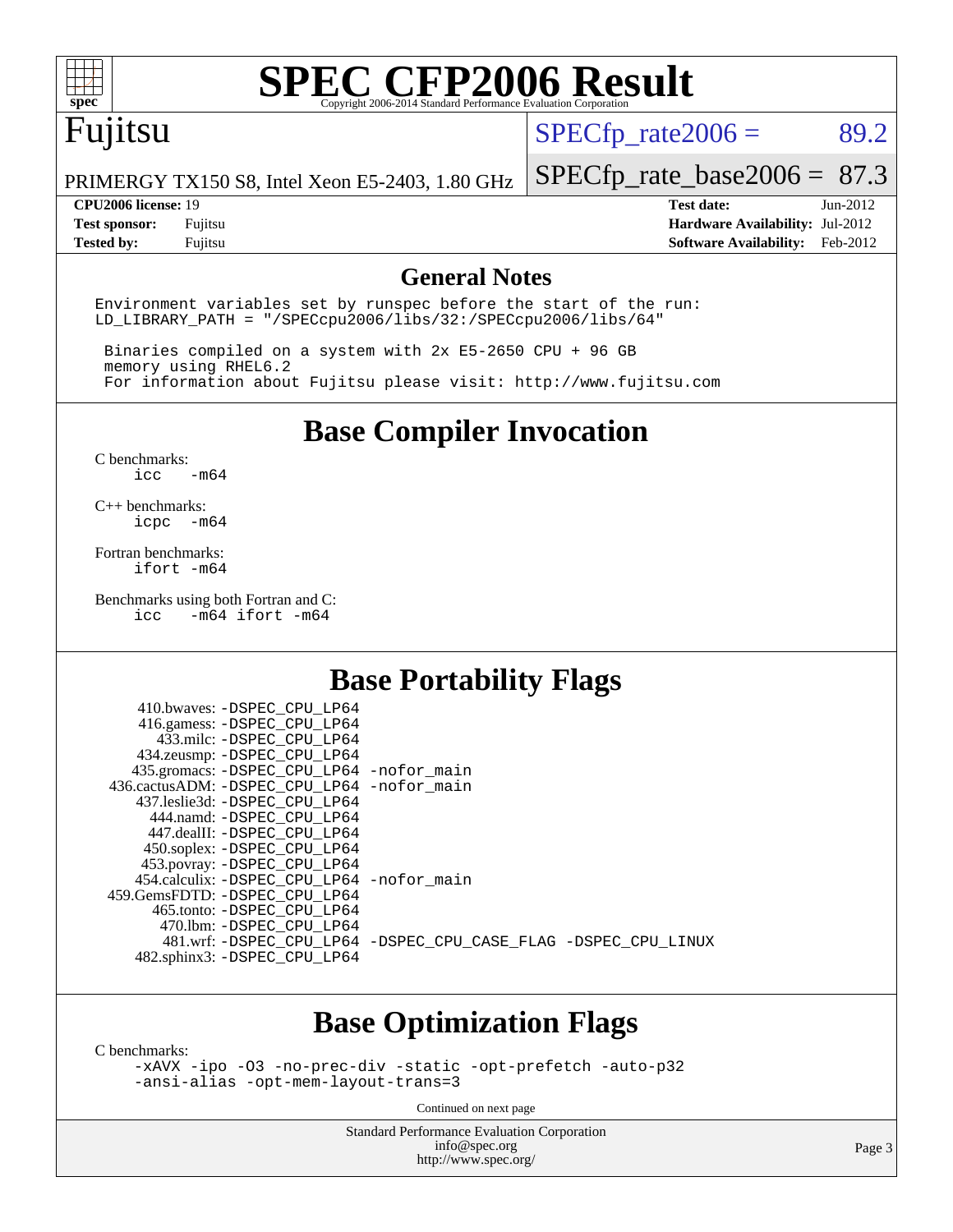

# **[SPEC CFP2006 Result](http://www.spec.org/auto/cpu2006/Docs/result-fields.html#SPECCFP2006Result)**

## Fujitsu

 $SPECTp_rate2006 = 89.2$ 

PRIMERGY TX150 S8, Intel Xeon E5-2403, 1.80 GHz

[SPECfp\\_rate\\_base2006 =](http://www.spec.org/auto/cpu2006/Docs/result-fields.html#SPECfpratebase2006) 87.3

**[CPU2006 license:](http://www.spec.org/auto/cpu2006/Docs/result-fields.html#CPU2006license)** 19 **[Test date:](http://www.spec.org/auto/cpu2006/Docs/result-fields.html#Testdate)** Jun-2012 **[Test sponsor:](http://www.spec.org/auto/cpu2006/Docs/result-fields.html#Testsponsor)** Fujitsu **[Hardware Availability:](http://www.spec.org/auto/cpu2006/Docs/result-fields.html#HardwareAvailability)** Jul-2012 **[Tested by:](http://www.spec.org/auto/cpu2006/Docs/result-fields.html#Testedby)** Fujitsu **[Software Availability:](http://www.spec.org/auto/cpu2006/Docs/result-fields.html#SoftwareAvailability)** Feb-2012

#### **[General Notes](http://www.spec.org/auto/cpu2006/Docs/result-fields.html#GeneralNotes)**

Environment variables set by runspec before the start of the run: LD\_LIBRARY\_PATH = "/SPECcpu2006/libs/32:/SPECcpu2006/libs/64"

 Binaries compiled on a system with 2x E5-2650 CPU + 96 GB memory using RHEL6.2 For information about Fujitsu please visit: <http://www.fujitsu.com>

**[Base Compiler Invocation](http://www.spec.org/auto/cpu2006/Docs/result-fields.html#BaseCompilerInvocation)**

[C benchmarks](http://www.spec.org/auto/cpu2006/Docs/result-fields.html#Cbenchmarks):  $\text{icc}$   $-\text{m64}$ 

[C++ benchmarks:](http://www.spec.org/auto/cpu2006/Docs/result-fields.html#CXXbenchmarks) [icpc -m64](http://www.spec.org/cpu2006/results/res2012q3/cpu2006-20120810-24089.flags.html#user_CXXbase_intel_icpc_64bit_bedb90c1146cab66620883ef4f41a67e)

[Fortran benchmarks](http://www.spec.org/auto/cpu2006/Docs/result-fields.html#Fortranbenchmarks): [ifort -m64](http://www.spec.org/cpu2006/results/res2012q3/cpu2006-20120810-24089.flags.html#user_FCbase_intel_ifort_64bit_ee9d0fb25645d0210d97eb0527dcc06e)

[Benchmarks using both Fortran and C](http://www.spec.org/auto/cpu2006/Docs/result-fields.html#BenchmarksusingbothFortranandC):<br>icc -m64 ifort -m64  $-m64$  ifort  $-m64$ 

#### **[Base Portability Flags](http://www.spec.org/auto/cpu2006/Docs/result-fields.html#BasePortabilityFlags)**

| 410.bwaves: -DSPEC CPU LP64                  |                                                                |
|----------------------------------------------|----------------------------------------------------------------|
| 416.gamess: -DSPEC_CPU_LP64                  |                                                                |
| 433.milc: -DSPEC CPU LP64                    |                                                                |
| 434.zeusmp: - DSPEC CPU LP64                 |                                                                |
| 435.gromacs: -DSPEC_CPU_LP64 -nofor_main     |                                                                |
| 436.cactusADM: - DSPEC CPU LP64 - nofor main |                                                                |
| 437.leslie3d: -DSPEC CPU LP64                |                                                                |
| 444.namd: -DSPEC CPU LP64                    |                                                                |
| 447.dealII: -DSPEC CPU LP64                  |                                                                |
| 450.soplex: -DSPEC_CPU_LP64                  |                                                                |
| 453.povray: -DSPEC_CPU_LP64                  |                                                                |
| 454.calculix: - DSPEC CPU LP64 - nofor main  |                                                                |
| 459.GemsFDTD: - DSPEC_CPU LP64               |                                                                |
| 465.tonto: - DSPEC CPU LP64                  |                                                                |
| 470.1bm: - DSPEC CPU LP64                    |                                                                |
|                                              | 481.wrf: -DSPEC_CPU_LP64 -DSPEC_CPU_CASE_FLAG -DSPEC_CPU_LINUX |
| 482.sphinx3: -DSPEC_CPU_LP64                 |                                                                |
|                                              |                                                                |

#### **[Base Optimization Flags](http://www.spec.org/auto/cpu2006/Docs/result-fields.html#BaseOptimizationFlags)**

[C benchmarks](http://www.spec.org/auto/cpu2006/Docs/result-fields.html#Cbenchmarks):

[-xAVX](http://www.spec.org/cpu2006/results/res2012q3/cpu2006-20120810-24089.flags.html#user_CCbase_f-xAVX) [-ipo](http://www.spec.org/cpu2006/results/res2012q3/cpu2006-20120810-24089.flags.html#user_CCbase_f-ipo) [-O3](http://www.spec.org/cpu2006/results/res2012q3/cpu2006-20120810-24089.flags.html#user_CCbase_f-O3) [-no-prec-div](http://www.spec.org/cpu2006/results/res2012q3/cpu2006-20120810-24089.flags.html#user_CCbase_f-no-prec-div) [-static](http://www.spec.org/cpu2006/results/res2012q3/cpu2006-20120810-24089.flags.html#user_CCbase_f-static) [-opt-prefetch](http://www.spec.org/cpu2006/results/res2012q3/cpu2006-20120810-24089.flags.html#user_CCbase_f-opt-prefetch) [-auto-p32](http://www.spec.org/cpu2006/results/res2012q3/cpu2006-20120810-24089.flags.html#user_CCbase_f-auto-p32) [-ansi-alias](http://www.spec.org/cpu2006/results/res2012q3/cpu2006-20120810-24089.flags.html#user_CCbase_f-ansi-alias) [-opt-mem-layout-trans=3](http://www.spec.org/cpu2006/results/res2012q3/cpu2006-20120810-24089.flags.html#user_CCbase_f-opt-mem-layout-trans_a7b82ad4bd7abf52556d4961a2ae94d5)

Continued on next page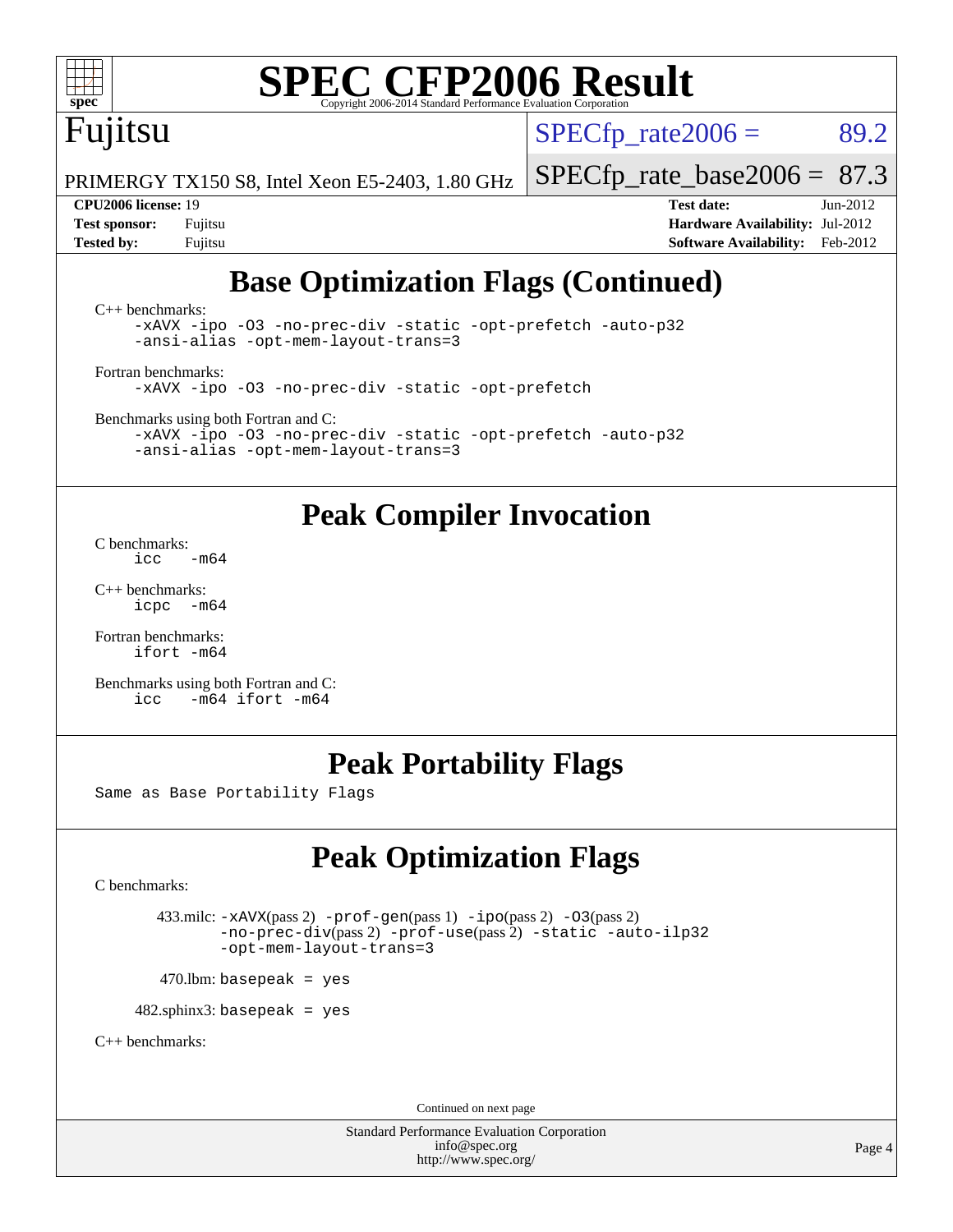

# **[SPEC CFP2006 Result](http://www.spec.org/auto/cpu2006/Docs/result-fields.html#SPECCFP2006Result)**

## Fujitsu

 $SPECTp\_rate2006 = 89.2$ 

PRIMERGY TX150 S8, Intel Xeon E5-2403, 1.80 GHz

#### **[CPU2006 license:](http://www.spec.org/auto/cpu2006/Docs/result-fields.html#CPU2006license)** 19 **[Test date:](http://www.spec.org/auto/cpu2006/Docs/result-fields.html#Testdate)** Jun-2012

[SPECfp\\_rate\\_base2006 =](http://www.spec.org/auto/cpu2006/Docs/result-fields.html#SPECfpratebase2006) 87.3

**[Test sponsor:](http://www.spec.org/auto/cpu2006/Docs/result-fields.html#Testsponsor)** Fujitsu **[Hardware Availability:](http://www.spec.org/auto/cpu2006/Docs/result-fields.html#HardwareAvailability)** Jul-2012 **[Tested by:](http://www.spec.org/auto/cpu2006/Docs/result-fields.html#Testedby)** Fujitsu **[Software Availability:](http://www.spec.org/auto/cpu2006/Docs/result-fields.html#SoftwareAvailability)** Feb-2012

#### **[Base Optimization Flags \(Continued\)](http://www.spec.org/auto/cpu2006/Docs/result-fields.html#BaseOptimizationFlags)**

[C++ benchmarks:](http://www.spec.org/auto/cpu2006/Docs/result-fields.html#CXXbenchmarks) [-xAVX](http://www.spec.org/cpu2006/results/res2012q3/cpu2006-20120810-24089.flags.html#user_CXXbase_f-xAVX) [-ipo](http://www.spec.org/cpu2006/results/res2012q3/cpu2006-20120810-24089.flags.html#user_CXXbase_f-ipo) [-O3](http://www.spec.org/cpu2006/results/res2012q3/cpu2006-20120810-24089.flags.html#user_CXXbase_f-O3) [-no-prec-div](http://www.spec.org/cpu2006/results/res2012q3/cpu2006-20120810-24089.flags.html#user_CXXbase_f-no-prec-div) [-static](http://www.spec.org/cpu2006/results/res2012q3/cpu2006-20120810-24089.flags.html#user_CXXbase_f-static) [-opt-prefetch](http://www.spec.org/cpu2006/results/res2012q3/cpu2006-20120810-24089.flags.html#user_CXXbase_f-opt-prefetch) [-auto-p32](http://www.spec.org/cpu2006/results/res2012q3/cpu2006-20120810-24089.flags.html#user_CXXbase_f-auto-p32) [-ansi-alias](http://www.spec.org/cpu2006/results/res2012q3/cpu2006-20120810-24089.flags.html#user_CXXbase_f-ansi-alias) [-opt-mem-layout-trans=3](http://www.spec.org/cpu2006/results/res2012q3/cpu2006-20120810-24089.flags.html#user_CXXbase_f-opt-mem-layout-trans_a7b82ad4bd7abf52556d4961a2ae94d5)

[Fortran benchmarks](http://www.spec.org/auto/cpu2006/Docs/result-fields.html#Fortranbenchmarks): [-xAVX](http://www.spec.org/cpu2006/results/res2012q3/cpu2006-20120810-24089.flags.html#user_FCbase_f-xAVX) [-ipo](http://www.spec.org/cpu2006/results/res2012q3/cpu2006-20120810-24089.flags.html#user_FCbase_f-ipo) [-O3](http://www.spec.org/cpu2006/results/res2012q3/cpu2006-20120810-24089.flags.html#user_FCbase_f-O3) [-no-prec-div](http://www.spec.org/cpu2006/results/res2012q3/cpu2006-20120810-24089.flags.html#user_FCbase_f-no-prec-div) [-static](http://www.spec.org/cpu2006/results/res2012q3/cpu2006-20120810-24089.flags.html#user_FCbase_f-static) [-opt-prefetch](http://www.spec.org/cpu2006/results/res2012q3/cpu2006-20120810-24089.flags.html#user_FCbase_f-opt-prefetch)

[Benchmarks using both Fortran and C](http://www.spec.org/auto/cpu2006/Docs/result-fields.html#BenchmarksusingbothFortranandC):

[-xAVX](http://www.spec.org/cpu2006/results/res2012q3/cpu2006-20120810-24089.flags.html#user_CC_FCbase_f-xAVX) [-ipo](http://www.spec.org/cpu2006/results/res2012q3/cpu2006-20120810-24089.flags.html#user_CC_FCbase_f-ipo) [-O3](http://www.spec.org/cpu2006/results/res2012q3/cpu2006-20120810-24089.flags.html#user_CC_FCbase_f-O3) [-no-prec-div](http://www.spec.org/cpu2006/results/res2012q3/cpu2006-20120810-24089.flags.html#user_CC_FCbase_f-no-prec-div) [-static](http://www.spec.org/cpu2006/results/res2012q3/cpu2006-20120810-24089.flags.html#user_CC_FCbase_f-static) [-opt-prefetch](http://www.spec.org/cpu2006/results/res2012q3/cpu2006-20120810-24089.flags.html#user_CC_FCbase_f-opt-prefetch) [-auto-p32](http://www.spec.org/cpu2006/results/res2012q3/cpu2006-20120810-24089.flags.html#user_CC_FCbase_f-auto-p32) [-ansi-alias](http://www.spec.org/cpu2006/results/res2012q3/cpu2006-20120810-24089.flags.html#user_CC_FCbase_f-ansi-alias) [-opt-mem-layout-trans=3](http://www.spec.org/cpu2006/results/res2012q3/cpu2006-20120810-24089.flags.html#user_CC_FCbase_f-opt-mem-layout-trans_a7b82ad4bd7abf52556d4961a2ae94d5)

#### **[Peak Compiler Invocation](http://www.spec.org/auto/cpu2006/Docs/result-fields.html#PeakCompilerInvocation)**

[C benchmarks](http://www.spec.org/auto/cpu2006/Docs/result-fields.html#Cbenchmarks):  $-m64$ 

[C++ benchmarks:](http://www.spec.org/auto/cpu2006/Docs/result-fields.html#CXXbenchmarks) [icpc -m64](http://www.spec.org/cpu2006/results/res2012q3/cpu2006-20120810-24089.flags.html#user_CXXpeak_intel_icpc_64bit_bedb90c1146cab66620883ef4f41a67e)

[Fortran benchmarks](http://www.spec.org/auto/cpu2006/Docs/result-fields.html#Fortranbenchmarks): [ifort -m64](http://www.spec.org/cpu2006/results/res2012q3/cpu2006-20120810-24089.flags.html#user_FCpeak_intel_ifort_64bit_ee9d0fb25645d0210d97eb0527dcc06e)

[Benchmarks using both Fortran and C](http://www.spec.org/auto/cpu2006/Docs/result-fields.html#BenchmarksusingbothFortranandC):<br>icc -m64 ifort -m64  $-m64$  ifort  $-m64$ 

#### **[Peak Portability Flags](http://www.spec.org/auto/cpu2006/Docs/result-fields.html#PeakPortabilityFlags)**

Same as Base Portability Flags

## **[Peak Optimization Flags](http://www.spec.org/auto/cpu2006/Docs/result-fields.html#PeakOptimizationFlags)**

[C benchmarks](http://www.spec.org/auto/cpu2006/Docs/result-fields.html#Cbenchmarks):

```
 433.milc: -xAVX(pass 2) -prof-gen(pass 1) -ipo(pass 2) -O3(pass 2)
        -no-prec-div(pass 2) -prof-use(pass 2) -static -auto-ilp32
        -opt-mem-layout-trans=3
```
 $470.$ lbm: basepeak = yes

 $482$ .sphinx3: basepeak = yes

[C++ benchmarks:](http://www.spec.org/auto/cpu2006/Docs/result-fields.html#CXXbenchmarks)

Continued on next page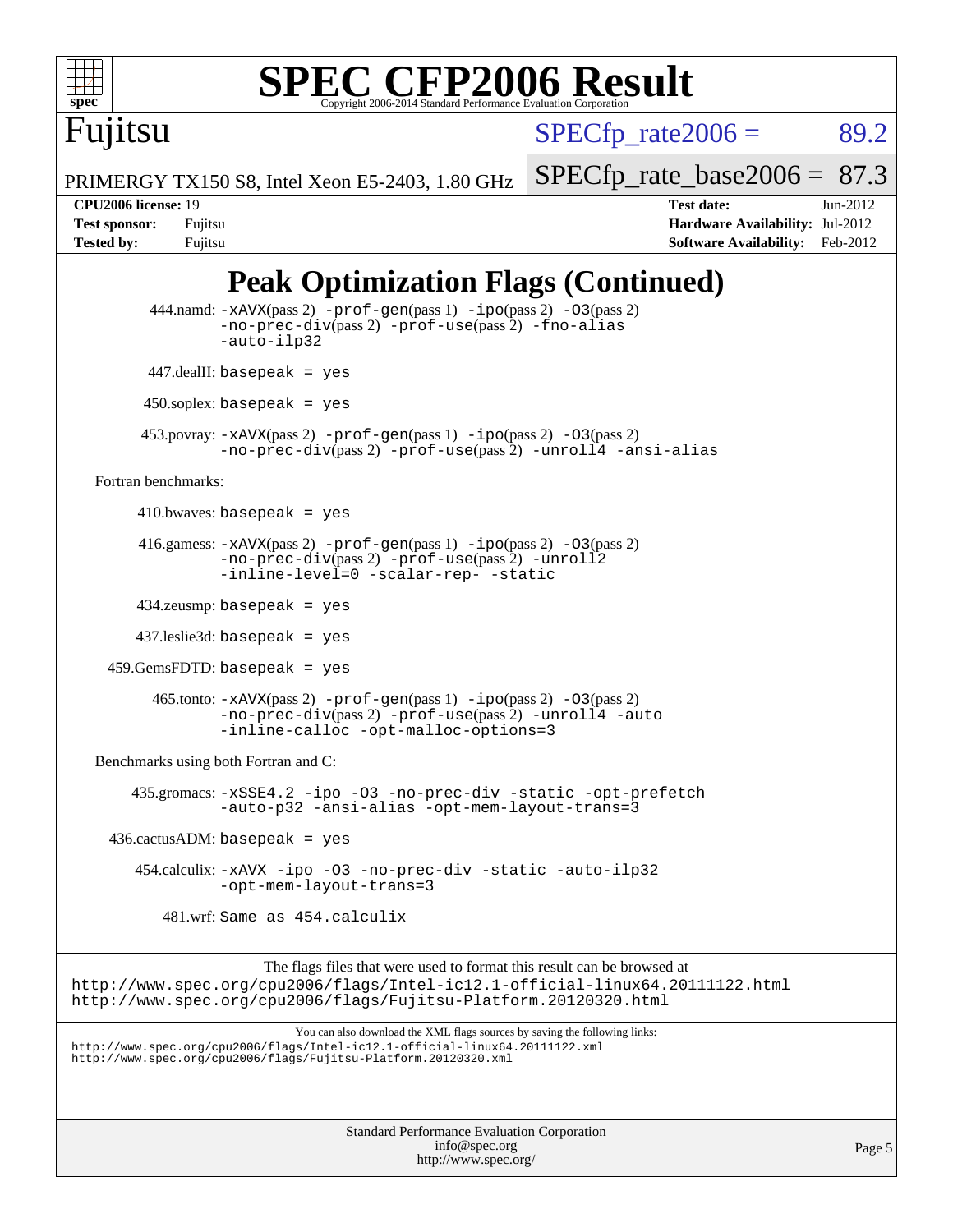

# **[SPEC CFP2006 Result](http://www.spec.org/auto/cpu2006/Docs/result-fields.html#SPECCFP2006Result)**

 $SPECTp\_rate2006 = 89.2$ 

PRIMERGY TX150 S8, Intel Xeon E5-2403, 1.80 GHz

[SPECfp\\_rate\\_base2006 =](http://www.spec.org/auto/cpu2006/Docs/result-fields.html#SPECfpratebase2006) 87.3

Fujitsu

**[CPU2006 license:](http://www.spec.org/auto/cpu2006/Docs/result-fields.html#CPU2006license)** 19 **[Test date:](http://www.spec.org/auto/cpu2006/Docs/result-fields.html#Testdate)** Jun-2012 **[Test sponsor:](http://www.spec.org/auto/cpu2006/Docs/result-fields.html#Testsponsor)** Fujitsu **[Hardware Availability:](http://www.spec.org/auto/cpu2006/Docs/result-fields.html#HardwareAvailability)** Jul-2012 **[Tested by:](http://www.spec.org/auto/cpu2006/Docs/result-fields.html#Testedby)** Fujitsu **[Software Availability:](http://www.spec.org/auto/cpu2006/Docs/result-fields.html#SoftwareAvailability)** Feb-2012

### **[Peak Optimization Flags \(Continued\)](http://www.spec.org/auto/cpu2006/Docs/result-fields.html#PeakOptimizationFlags)**

```
Standard Performance Evaluation Corporation
                                               info@spec.org
                                             http://www.spec.org/
                                                                                                      Page 5
          444.namd: -xAVX(pass 2) -prof-gen(pass 1) -ppo(pass 2) -03(pass 2)
                   -no-prec-div(pass 2) -prof-use(pass 2) -fno-alias
                   -auto-ilp32
           447.dealII: basepeak = yes
          450.soplex: basepeak = yes
          453.povray: -xAVX(pass 2) -prof-gen(pass 1) -ipo(pass 2) -O3(pass 2)
                   -no-prec-div(pass 2) -prof-use(pass 2) -unroll4 -ansi-alias
   Fortran benchmarks: 
        410.bwaves: basepeak = yes416.gamess: -xAVX(pass 2) -prof-gen(pass 1) -ipo(pass 2) -O3(pass 2)
                   -no-prec-div(pass 2) -prof-use(pass 2) -unroll2
                   -inline-level=0 -scalar-rep- -static
         434.zeusmp: basepeak = yes
         437.leslie3d: basepeak = yes
     459.GemsFDTD: basepeak = yes
           465.tonto: -xAVX(pass 2) -prof-gen(pass 1) -ipo(pass 2) -O3(pass 2)
                   -no-prec-div(pass 2) -prof-use(pass 2) -unroll4 -auto
                   -inline-calloc -opt-malloc-options=3
   Benchmarks using both Fortran and C: 
        435.gromacs: -xSSE4.2 -ipo -O3 -no-prec-div -static -opt-prefetch
                   -auto-p32 -ansi-alias -opt-mem-layout-trans=3
    436.cactusADM:basepeak = yes 454.calculix: -xAVX -ipo -O3 -no-prec-div -static -auto-ilp32
                   -opt-mem-layout-trans=3
             481.wrf: Same as 454.calculix
                         The flags files that were used to format this result can be browsed at
http://www.spec.org/cpu2006/flags/Intel-ic12.1-official-linux64.20111122.html
http://www.spec.org/cpu2006/flags/Fujitsu-Platform.20120320.html
                             You can also download the XML flags sources by saving the following links:
http://www.spec.org/cpu2006/flags/Intel-ic12.1-official-linux64.20111122.xml
http://www.spec.org/cpu2006/flags/Fujitsu-Platform.20120320.xml
```